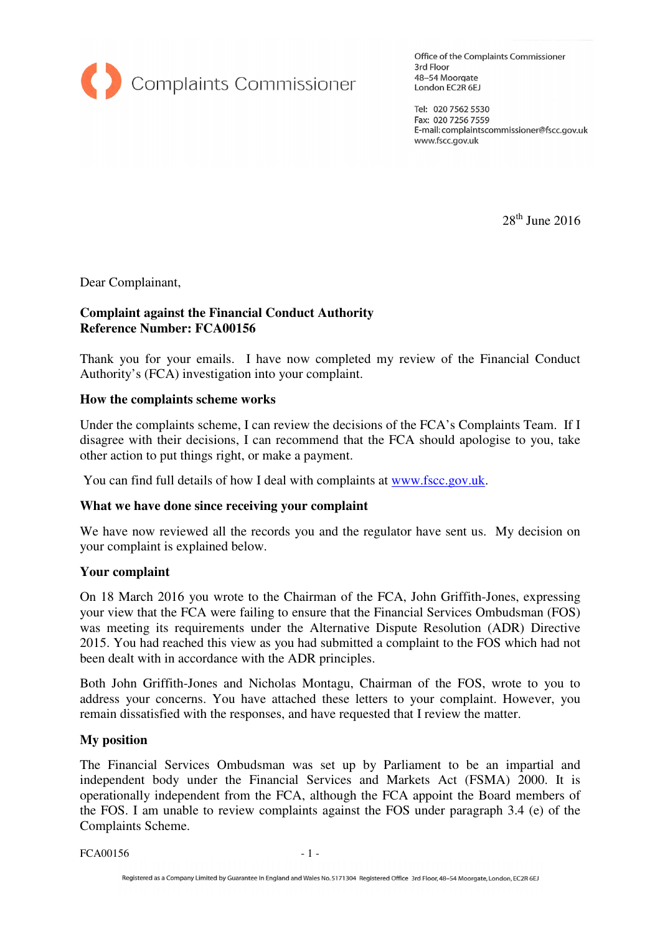

Office of the Complaints Commissioner 3rd Floor 48-54 Moorgate London EC2R 6EJ

Tel: 020 7562 5530 Fax: 020 7256 7559 E-mail: complaintscommissioner@fscc.gov.uk www.fscc.gov.uk

 $28<sup>th</sup>$  June 2016

Dear Complainant,

## **Complaint against the Financial Conduct Authority Reference Number: FCA00156**

Thank you for your emails. I have now completed my review of the Financial Conduct Authority's (FCA) investigation into your complaint.

### **How the complaints scheme works**

Under the complaints scheme, I can review the decisions of the FCA's Complaints Team. If I disagree with their decisions, I can recommend that the FCA should apologise to you, take other action to put things right, or make a payment.

You can find full details of how I deal with complaints at www.fscc.gov.uk.

## **What we have done since receiving your complaint**

We have now reviewed all the records you and the regulator have sent us. My decision on your complaint is explained below.

#### **Your complaint**

On 18 March 2016 you wrote to the Chairman of the FCA, John Griffith-Jones, expressing your view that the FCA were failing to ensure that the Financial Services Ombudsman (FOS) was meeting its requirements under the Alternative Dispute Resolution (ADR) Directive 2015. You had reached this view as you had submitted a complaint to the FOS which had not been dealt with in accordance with the ADR principles.

Both John Griffith-Jones and Nicholas Montagu, Chairman of the FOS, wrote to you to address your concerns. You have attached these letters to your complaint. However, you remain dissatisfied with the responses, and have requested that I review the matter.

#### **My position**

The Financial Services Ombudsman was set up by Parliament to be an impartial and independent body under the Financial Services and Markets Act (FSMA) 2000. It is operationally independent from the FCA, although the FCA appoint the Board members of the FOS. I am unable to review complaints against the FOS under paragraph 3.4 (e) of the Complaints Scheme.

FCA00156 - 1 -